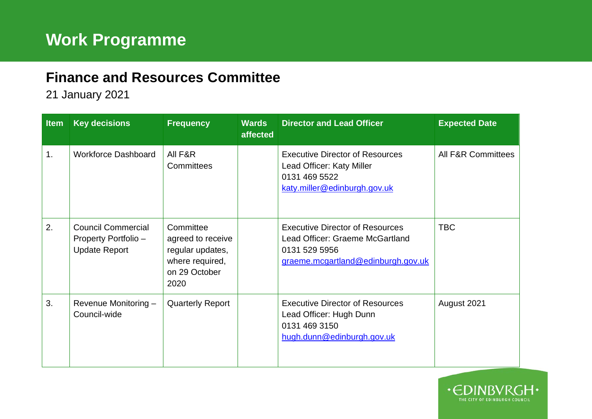## **Finance and Resources Committee**

21 January 2021

| <b>Item</b> | <b>Key decisions</b>                                                      | <b>Frequency</b>                                                                               | <b>Wards</b><br>affected | <b>Director and Lead Officer</b>                                                                                                 | <b>Expected Date</b>          |
|-------------|---------------------------------------------------------------------------|------------------------------------------------------------------------------------------------|--------------------------|----------------------------------------------------------------------------------------------------------------------------------|-------------------------------|
| 1.          | <b>Workforce Dashboard</b>                                                | All F&R<br>Committees                                                                          |                          | <b>Executive Director of Resources</b><br>Lead Officer: Katy Miller<br>0131 469 5522<br>katy.miller@edinburgh.gov.uk             | <b>All F&amp;R Committees</b> |
| 2.          | <b>Council Commercial</b><br>Property Portfolio -<br><b>Update Report</b> | Committee<br>agreed to receive<br>regular updates,<br>where required,<br>on 29 October<br>2020 |                          | <b>Executive Director of Resources</b><br>Lead Officer: Graeme McGartland<br>0131 529 5956<br>graeme.mcgartland@edinburgh.gov.uk | <b>TBC</b>                    |
| 3.          | Revenue Monitoring -<br>Council-wide                                      | <b>Quarterly Report</b>                                                                        |                          | <b>Executive Director of Resources</b><br>Lead Officer: Hugh Dunn<br>0131 469 3150<br>hugh.dunn@edinburgh.gov.uk                 | August 2021                   |

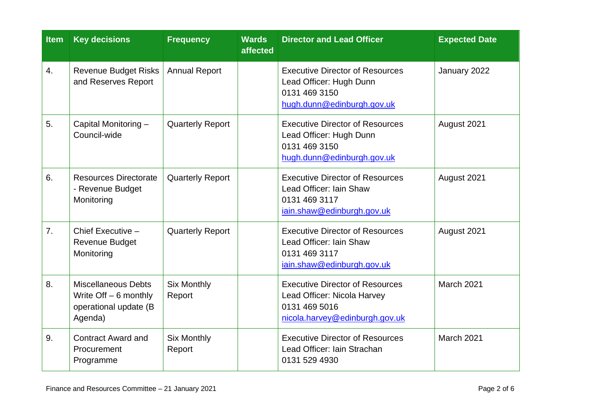| <b>Item</b>    | <b>Key decisions</b>                                                                      | <b>Frequency</b>             | <b>Wards</b><br>affected | <b>Director and Lead Officer</b>                                                                                         | <b>Expected Date</b> |
|----------------|-------------------------------------------------------------------------------------------|------------------------------|--------------------------|--------------------------------------------------------------------------------------------------------------------------|----------------------|
| 4.             | <b>Revenue Budget Risks</b><br>and Reserves Report                                        | <b>Annual Report</b>         |                          | <b>Executive Director of Resources</b><br>Lead Officer: Hugh Dunn<br>0131 469 3150<br>hugh.dunn@edinburgh.gov.uk         | January 2022         |
| 5.             | Capital Monitoring -<br>Council-wide                                                      | <b>Quarterly Report</b>      |                          | <b>Executive Director of Resources</b><br>Lead Officer: Hugh Dunn<br>0131 469 3150<br>hugh.dunn@edinburgh.gov.uk         | August 2021          |
| 6.             | <b>Resources Directorate</b><br>- Revenue Budget<br>Monitoring                            | <b>Quarterly Report</b>      |                          | <b>Executive Director of Resources</b><br>Lead Officer: Iain Shaw<br>0131 469 3117<br>iain.shaw@edinburgh.gov.uk         | August 2021          |
| 7 <sub>1</sub> | Chief Executive -<br><b>Revenue Budget</b><br>Monitoring                                  | <b>Quarterly Report</b>      |                          | <b>Executive Director of Resources</b><br>Lead Officer: Iain Shaw<br>0131 469 3117<br>iain.shaw@edinburgh.gov.uk         | August 2021          |
| 8.             | <b>Miscellaneous Debts</b><br>Write $Off - 6$ monthly<br>operational update (B<br>Agenda) | <b>Six Monthly</b><br>Report |                          | <b>Executive Director of Resources</b><br>Lead Officer: Nicola Harvey<br>0131 469 5016<br>nicola.harvey@edinburgh.gov.uk | March 2021           |
| 9.             | <b>Contract Award and</b><br>Procurement<br>Programme                                     | <b>Six Monthly</b><br>Report |                          | <b>Executive Director of Resources</b><br>Lead Officer: Iain Strachan<br>0131 529 4930                                   | March 2021           |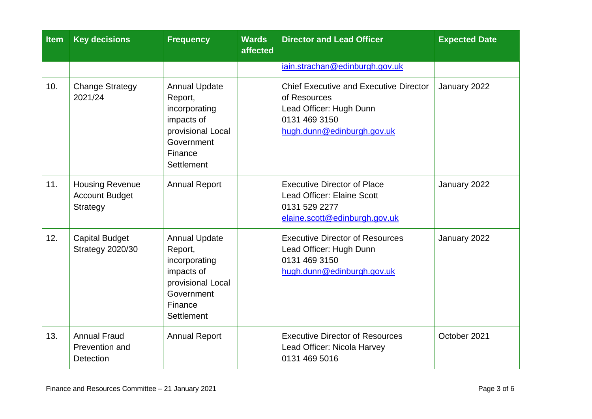| <b>Item</b> | <b>Key decisions</b>                                               | <b>Frequency</b>                                                                                                                  | <b>Wards</b><br>affected | <b>Director and Lead Officer</b>                                                                                                        | <b>Expected Date</b> |
|-------------|--------------------------------------------------------------------|-----------------------------------------------------------------------------------------------------------------------------------|--------------------------|-----------------------------------------------------------------------------------------------------------------------------------------|----------------------|
|             |                                                                    |                                                                                                                                   |                          | iain.strachan@edinburgh.gov.uk                                                                                                          |                      |
| 10.         | <b>Change Strategy</b><br>2021/24                                  | <b>Annual Update</b><br>Report,<br>incorporating<br>impacts of<br>provisional Local<br>Government<br>Finance<br>Settlement        |                          | <b>Chief Executive and Executive Director</b><br>of Resources<br>Lead Officer: Hugh Dunn<br>0131 469 3150<br>hugh.dunn@edinburgh.gov.uk | January 2022         |
| 11.         | <b>Housing Revenue</b><br><b>Account Budget</b><br><b>Strategy</b> | <b>Annual Report</b>                                                                                                              |                          | <b>Executive Director of Place</b><br><b>Lead Officer: Elaine Scott</b><br>0131 529 2277<br>elaine.scott@edinburgh.gov.uk               | January 2022         |
| 12.         | <b>Capital Budget</b><br><b>Strategy 2020/30</b>                   | <b>Annual Update</b><br>Report,<br>incorporating<br>impacts of<br>provisional Local<br>Government<br>Finance<br><b>Settlement</b> |                          | <b>Executive Director of Resources</b><br>Lead Officer: Hugh Dunn<br>0131 469 3150<br>hugh.dunn@edinburgh.gov.uk                        | January 2022         |
| 13.         | <b>Annual Fraud</b><br>Prevention and<br><b>Detection</b>          | <b>Annual Report</b>                                                                                                              |                          | <b>Executive Director of Resources</b><br>Lead Officer: Nicola Harvey<br>0131 469 5016                                                  | October 2021         |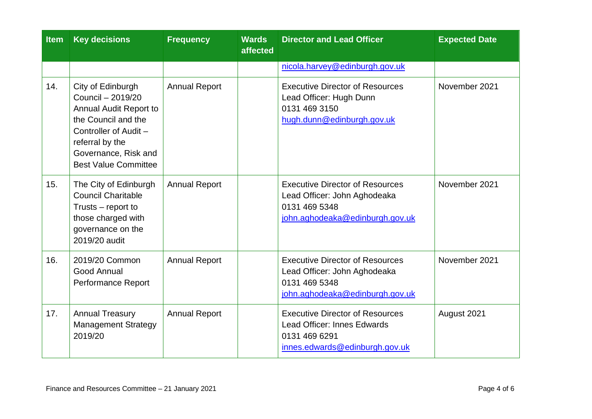| <b>Item</b> | <b>Key decisions</b>                                                                                                                                                                       | <b>Frequency</b>     | <b>Wards</b><br>affected | <b>Director and Lead Officer</b>                                                                                           | <b>Expected Date</b> |
|-------------|--------------------------------------------------------------------------------------------------------------------------------------------------------------------------------------------|----------------------|--------------------------|----------------------------------------------------------------------------------------------------------------------------|----------------------|
|             |                                                                                                                                                                                            |                      |                          | nicola.harvey@edinburgh.gov.uk                                                                                             |                      |
| 14.         | City of Edinburgh<br>Council - 2019/20<br>Annual Audit Report to<br>the Council and the<br>Controller of Audit -<br>referral by the<br>Governance, Risk and<br><b>Best Value Committee</b> | <b>Annual Report</b> |                          | <b>Executive Director of Resources</b><br>Lead Officer: Hugh Dunn<br>0131 469 3150<br>hugh.dunn@edinburgh.gov.uk           | November 2021        |
| 15.         | The City of Edinburgh<br><b>Council Charitable</b><br>Trusts – report to<br>those charged with<br>governance on the<br>2019/20 audit                                                       | <b>Annual Report</b> |                          | <b>Executive Director of Resources</b><br>Lead Officer: John Aghodeaka<br>0131 469 5348<br>john.aghodeaka@edinburgh.gov.uk | November 2021        |
| 16.         | 2019/20 Common<br>Good Annual<br>Performance Report                                                                                                                                        | <b>Annual Report</b> |                          | <b>Executive Director of Resources</b><br>Lead Officer: John Aghodeaka<br>0131 469 5348<br>john.aghodeaka@edinburgh.gov.uk | November 2021        |
| 17.         | <b>Annual Treasury</b><br><b>Management Strategy</b><br>2019/20                                                                                                                            | <b>Annual Report</b> |                          | <b>Executive Director of Resources</b><br>Lead Officer: Innes Edwards<br>0131 469 6291<br>innes.edwards@edinburgh.gov.uk   | August 2021          |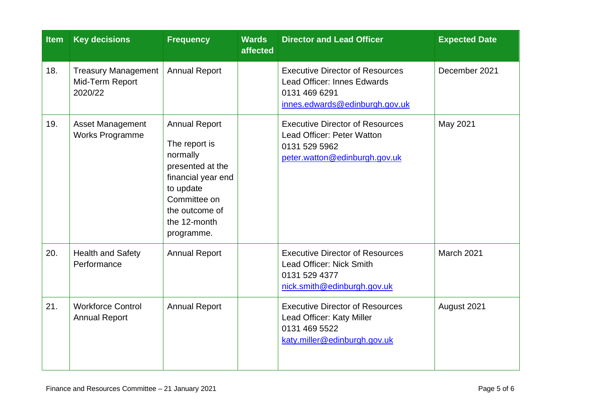| <b>Item</b> | <b>Key decisions</b>                                     | <b>Frequency</b>                                                                                                                                                         | <b>Wards</b><br>affected | <b>Director and Lead Officer</b>                                                                                                | <b>Expected Date</b> |
|-------------|----------------------------------------------------------|--------------------------------------------------------------------------------------------------------------------------------------------------------------------------|--------------------------|---------------------------------------------------------------------------------------------------------------------------------|----------------------|
| 18.         | <b>Treasury Management</b><br>Mid-Term Report<br>2020/22 | <b>Annual Report</b>                                                                                                                                                     |                          | <b>Executive Director of Resources</b><br><b>Lead Officer: Innes Edwards</b><br>0131 469 6291<br>innes.edwards@edinburgh.gov.uk | December 2021        |
| 19.         | <b>Asset Management</b><br><b>Works Programme</b>        | <b>Annual Report</b><br>The report is<br>normally<br>presented at the<br>financial year end<br>to update<br>Committee on<br>the outcome of<br>the 12-month<br>programme. |                          | <b>Executive Director of Resources</b><br>Lead Officer: Peter Watton<br>0131 529 5962<br>peter.watton@edinburgh.gov.uk          | May 2021             |
| 20.         | <b>Health and Safety</b><br>Performance                  | <b>Annual Report</b>                                                                                                                                                     |                          | <b>Executive Director of Resources</b><br>Lead Officer: Nick Smith<br>0131 529 4377<br>nick.smith@edinburgh.gov.uk              | March 2021           |
| 21.         | <b>Workforce Control</b><br><b>Annual Report</b>         | <b>Annual Report</b>                                                                                                                                                     |                          | <b>Executive Director of Resources</b><br>Lead Officer: Katy Miller<br>0131 469 5522<br>katy.miller@edinburgh.gov.uk            | August 2021          |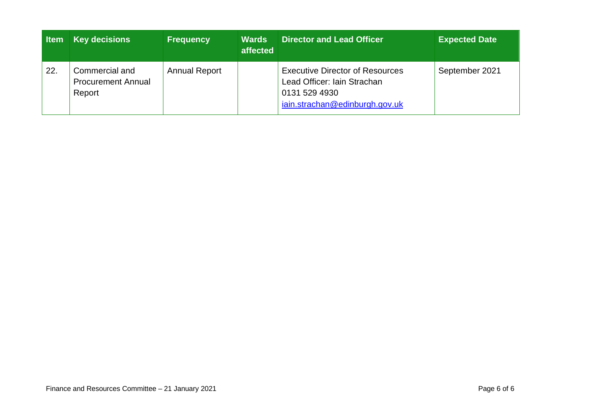| <b>Item</b> | <b>Key decisions</b>                                  | <b>Frequency</b>     | <b>Wards</b><br>affected | <b>Director and Lead Officer</b>                                                                                         | <b>Expected Date</b> |
|-------------|-------------------------------------------------------|----------------------|--------------------------|--------------------------------------------------------------------------------------------------------------------------|----------------------|
| 22.         | Commercial and<br><b>Procurement Annual</b><br>Report | <b>Annual Report</b> |                          | <b>Executive Director of Resources</b><br>Lead Officer: Iain Strachan<br>0131 529 4930<br>iain.strachan@edinburgh.gov.uk | September 2021       |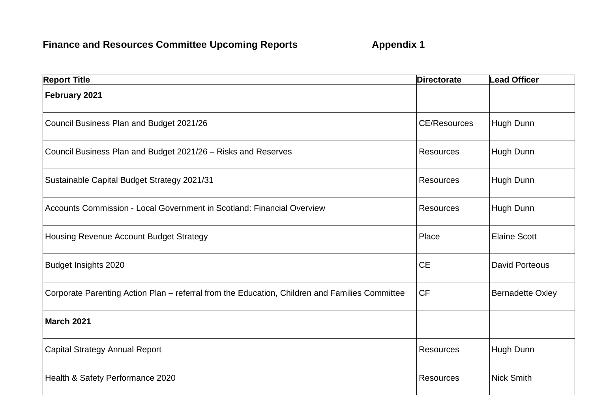| <b>Report Title</b>                                                                            | <b>Directorate</b>  | <b>Lead Officer</b>     |
|------------------------------------------------------------------------------------------------|---------------------|-------------------------|
| February 2021                                                                                  |                     |                         |
| Council Business Plan and Budget 2021/26                                                       | <b>CE/Resources</b> | Hugh Dunn               |
| Council Business Plan and Budget 2021/26 - Risks and Reserves                                  | <b>Resources</b>    | Hugh Dunn               |
| Sustainable Capital Budget Strategy 2021/31                                                    | Resources           | Hugh Dunn               |
| Accounts Commission - Local Government in Scotland: Financial Overview                         | <b>Resources</b>    | Hugh Dunn               |
| Housing Revenue Account Budget Strategy                                                        | Place               | <b>Elaine Scott</b>     |
| <b>Budget Insights 2020</b>                                                                    | <b>CE</b>           | <b>David Porteous</b>   |
| Corporate Parenting Action Plan - referral from the Education, Children and Families Committee | <b>CF</b>           | <b>Bernadette Oxley</b> |
| <b>March 2021</b>                                                                              |                     |                         |
| <b>Capital Strategy Annual Report</b>                                                          | <b>Resources</b>    | Hugh Dunn               |
| Health & Safety Performance 2020                                                               | <b>Resources</b>    | <b>Nick Smith</b>       |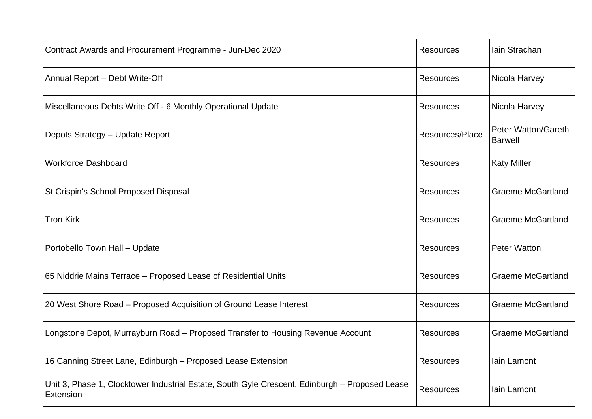| Contract Awards and Procurement Programme - Jun-Dec 2020                                                    | <b>Resources</b> | Iain Strachan                                |
|-------------------------------------------------------------------------------------------------------------|------------------|----------------------------------------------|
| Annual Report - Debt Write-Off                                                                              | <b>Resources</b> | Nicola Harvey                                |
| Miscellaneous Debts Write Off - 6 Monthly Operational Update                                                | <b>Resources</b> | Nicola Harvey                                |
| Depots Strategy - Update Report                                                                             | Resources/Place  | <b>Peter Watton/Gareth</b><br><b>Barwell</b> |
| <b>Workforce Dashboard</b>                                                                                  | <b>Resources</b> | <b>Katy Miller</b>                           |
| St Crispin's School Proposed Disposal                                                                       | <b>Resources</b> | <b>Graeme McGartland</b>                     |
| <b>Tron Kirk</b>                                                                                            | <b>Resources</b> | <b>Graeme McGartland</b>                     |
| Portobello Town Hall - Update                                                                               | <b>Resources</b> | <b>Peter Watton</b>                          |
| 65 Niddrie Mains Terrace - Proposed Lease of Residential Units                                              | Resources        | <b>Graeme McGartland</b>                     |
| 20 West Shore Road - Proposed Acquisition of Ground Lease Interest                                          | <b>Resources</b> | <b>Graeme McGartland</b>                     |
| Longstone Depot, Murrayburn Road - Proposed Transfer to Housing Revenue Account                             | <b>Resources</b> | <b>Graeme McGartland</b>                     |
| 16 Canning Street Lane, Edinburgh - Proposed Lease Extension                                                | <b>Resources</b> | Iain Lamont                                  |
| Unit 3, Phase 1, Clocktower Industrial Estate, South Gyle Crescent, Edinburgh - Proposed Lease<br>Extension | Resources        | lain Lamont                                  |